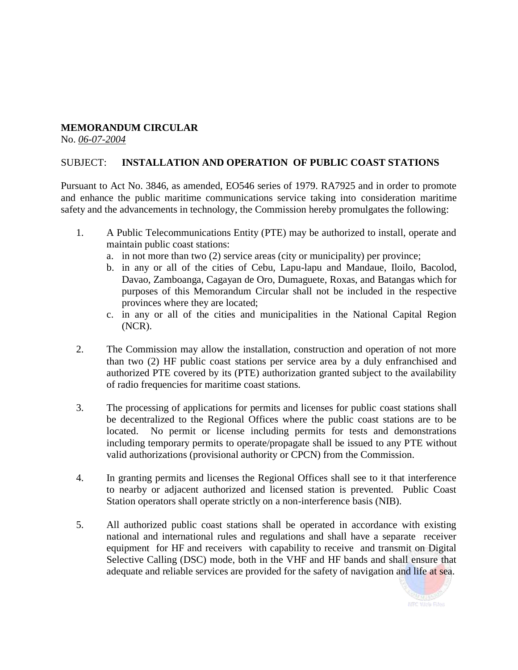## **MEMORANDUM CIRCULAR**

No. *06-07-2004*

## SUBJECT: **INSTALLATION AND OPERATION OF PUBLIC COAST STATIONS**

Pursuant to Act No. 3846, as amended, EO546 series of 1979. RA7925 and in order to promote and enhance the public maritime communications service taking into consideration maritime safety and the advancements in technology, the Commission hereby promulgates the following:

- 1. A Public Telecommunications Entity (PTE) may be authorized to install, operate and maintain public coast stations:
	- a. in not more than two (2) service areas (city or municipality) per province;
	- b. in any or all of the cities of Cebu, Lapu-lapu and Mandaue, Iloilo, Bacolod, Davao, Zamboanga, Cagayan de Oro, Dumaguete, Roxas, and Batangas which for purposes of this Memorandum Circular shall not be included in the respective provinces where they are located;
	- c. in any or all of the cities and municipalities in the National Capital Region (NCR).
- 2. The Commission may allow the installation, construction and operation of not more than two (2) HF public coast stations per service area by a duly enfranchised and authorized PTE covered by its (PTE) authorization granted subject to the availability of radio frequencies for maritime coast stations.
- 3. The processing of applications for permits and licenses for public coast stations shall be decentralized to the Regional Offices where the public coast stations are to be located. No permit or license including permits for tests and demonstrations including temporary permits to operate/propagate shall be issued to any PTE without valid authorizations (provisional authority or CPCN) from the Commission.
- 4. In granting permits and licenses the Regional Offices shall see to it that interference to nearby or adjacent authorized and licensed station is prevented. Public Coast Station operators shall operate strictly on a non-interference basis (NIB).
- 5. All authorized public coast stations shall be operated in accordance with existing national and international rules and regulations and shall have a separate receiver equipment for HF and receivers with capability to receive and transmit on Digital Selective Calling (DSC) mode, both in the VHF and HF bands and shall ensure that adequate and reliable services are provided for the safety of navigation and life at sea.